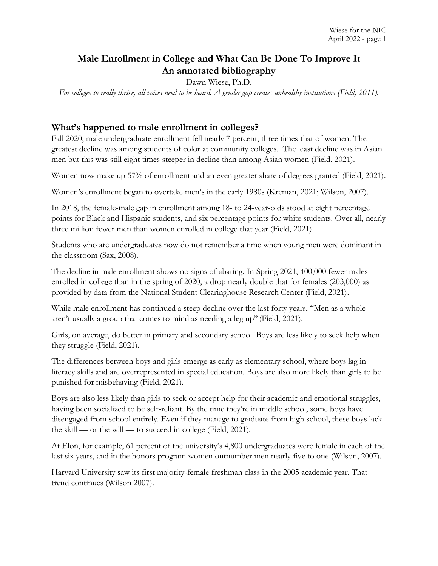# **Male Enrollment in College and What Can Be Done To Improve It An annotated bibliography**

Dawn Wiese, Ph.D.

*For colleges to really thrive, all voices need to be heard. A gender gap creates unhealthy institutions (Field, 2011).*

#### **What's happened to male enrollment in colleges?**

Fall 2020, male undergraduate enrollment fell nearly 7 percent, three times that of women. The greatest decline was among students of color at community colleges. The least decline was in Asian men but this was still eight times steeper in decline than among Asian women (Field, 2021).

Women now make up 57% of enrollment and an even greater share of degrees granted (Field, 2021).

Women's enrollment began to overtake men's in the early 1980s (Kreman, 2021; Wilson, 2007).

In 2018, the female-male gap in enrollment among 18- to 24-year-olds stood at eight percentage points for Black and Hispanic students, and six percentage points for white students. Over all, nearly three million fewer men than women enrolled in college that year (Field, 2021).

Students who are undergraduates now do not remember a time when young men were dominant in the classroom (Sax, 2008).

The decline in male enrollment shows no signs of abating. In Spring 2021, 400,000 fewer males enrolled in college than in the spring of 2020, a drop nearly double that for females (203,000) as provided by data from the National Student Clearinghouse Research Center (Field, 2021).

While male enrollment has continued a steep decline over the last forty years, "Men as a whole aren't usually a group that comes to mind as needing a leg up" (Field, 2021).

Girls, on average, do better in primary and secondary school. Boys are less likely to seek help when they struggle (Field, 2021).

The differences between boys and girls emerge as early as elementary school, where boys lag in literacy skills and are overrepresented in special education. Boys are also more likely than girls to be punished for misbehaving (Field, 2021).

Boys are also less likely than girls to seek or accept help for their academic and emotional struggles, having been socialized to be self-reliant. By the time they're in middle school, some boys have disengaged from school entirely. Even if they manage to graduate from high school, these boys lack the skill — or the will — to succeed in college (Field, 2021).

At Elon, for example, 61 percent of the university's 4,800 undergraduates were female in each of the last six years, and in the honors program women outnumber men nearly five to one (Wilson, 2007).

Harvard University saw its first majority-female freshman class in the 2005 academic year. That trend continues (Wilson 2007).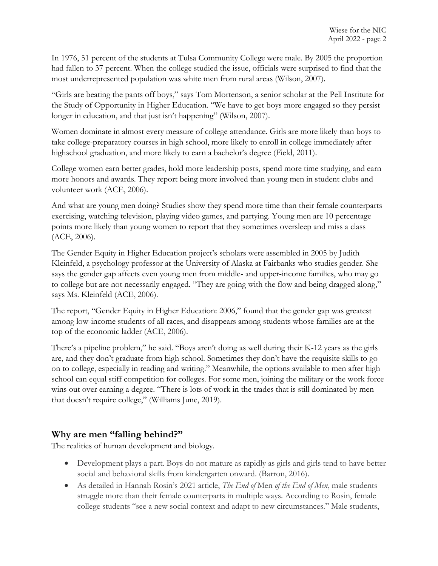In 1976, 51 percent of the students at Tulsa Community College were male. By 2005 the proportion had fallen to 37 percent. When the college studied the issue, officials were surprised to find that the most underrepresented population was white men from rural areas (Wilson, 2007).

"Girls are beating the pants off boys," says Tom Mortenson, a senior scholar at the Pell Institute for the Study of Opportunity in Higher Education. "We have to get boys more engaged so they persist longer in education, and that just isn't happening" (Wilson, 2007).

Women dominate in almost every measure of college attendance. Girls are more likely than boys to take college-preparatory courses in high school, more likely to enroll in college immediately after highschool graduation, and more likely to earn a bachelor's degree (Field, 2011).

College women earn better grades, hold more leadership posts, spend more time studying, and earn more honors and awards. They report being more involved than young men in student clubs and volunteer work (ACE, 2006).

And what are young men doing? Studies show they spend more time than their female counterparts exercising, watching television, playing video games, and partying. Young men are 10 percentage points more likely than young women to report that they sometimes oversleep and miss a class (ACE, 2006).

The Gender Equity in Higher Education project's scholars were assembled in 2005 by Judith Kleinfeld, a psychology professor at the University of Alaska at Fairbanks who studies gender. She says the gender gap affects even young men from middle- and upper-income families, who may go to college but are not necessarily engaged. "They are going with the flow and being dragged along," says Ms. Kleinfeld (ACE, 2006).

The report, "Gender Equity in Higher Education: 2006," found that the gender gap was greatest among low-income students of all races, and disappears among students whose families are at the top of the economic ladder (ACE, 2006).

There's a pipeline problem," he said. "Boys aren't doing as well during their K-12 years as the girls are, and they don't graduate from high school. Sometimes they don't have the requisite skills to go on to college, especially in reading and writing." Meanwhile, the options available to men after high school can equal stiff competition for colleges. For some men, joining the military or the work force wins out over earning a degree. "There is lots of work in the trades that is still dominated by men that doesn't require college," (Williams June, 2019).

### **Why are men "falling behind?"**

The realities of human development and biology.

- Development plays a part. Boys do not mature as rapidly as girls and girls tend to have better social and behavioral skills from kindergarten onward. (Barron, 2016).
- As detailed in Hannah Rosin's 2021 article, *The End of* Men *of the End of Men*, male students struggle more than their female counterparts in multiple ways. According to Rosin, female college students "see a new social context and adapt to new circumstances." Male students,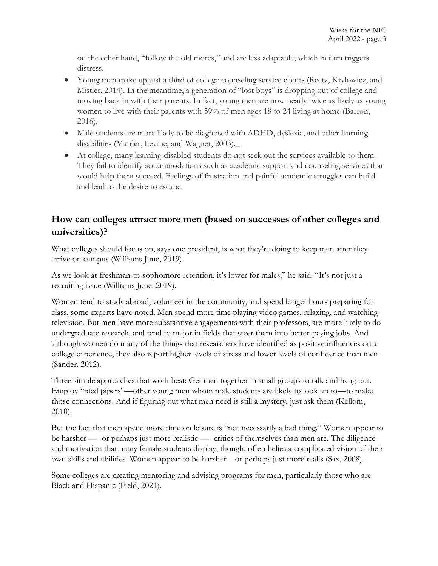on the other hand, "follow the old mores," and are less adaptable, which in turn triggers distress.

- Young men make up just a third of college counseling service clients (Reetz, Krylowicz, and Mistler, 2014). In the meantime, a generation of "lost boys" is dropping out of college and moving back in with their parents. In fact, young men are now nearly twice as likely as young women to live with their parents with 59% of men ages 18 to 24 living at home (Barron, 2016).
- Male students are more likely to be diagnosed with ADHD, dyslexia, and other learning disabilities (Marder, Levine, and Wagner, 2003).\_
- At college, many learning-disabled students do not seek out the services available to them. They fail to identify accommodations such as academic support and counseling services that would help them succeed. Feelings of frustration and painful academic struggles can build and lead to the desire to escape.

# **How can colleges attract more men (based on successes of other colleges and universities)?**

What colleges should focus on, says one president, is what they're doing to keep men after they arrive on campus (Williams June, 2019).

As we look at freshman-to-sophomore retention, it's lower for males," he said. "It's not just a recruiting issue (Williams June, 2019).

Women tend to study abroad, volunteer in the community, and spend longer hours preparing for class, some experts have noted. Men spend more time playing video games, relaxing, and watching television. But men have more substantive engagements with their professors, are more likely to do undergraduate research, and tend to major in fields that steer them into better-paying jobs. And although women do many of the things that researchers have identified as positive influences on a college experience, they also report higher levels of stress and lower levels of confidence than men (Sander, 2012).

Three simple approaches that work best: Get men together in small groups to talk and hang out. Employ "pied pipers"—other young men whom male students are likely to look up to—to make those connections. And if figuring out what men need is still a mystery, just ask them (Kellom, 2010).

But the fact that men spend more time on leisure is "not necessarily a bad thing." Women appear to be harsher —- or perhaps just more realistic —- critics of themselves than men are. The diligence and motivation that many female students display, though, often belies a complicated vision of their own skills and abilities. Women appear to be harsher—or perhaps just more realis (Sax, 2008).

Some colleges are creating mentoring and advising programs for men, particularly those who are Black and Hispanic (Field, 2021).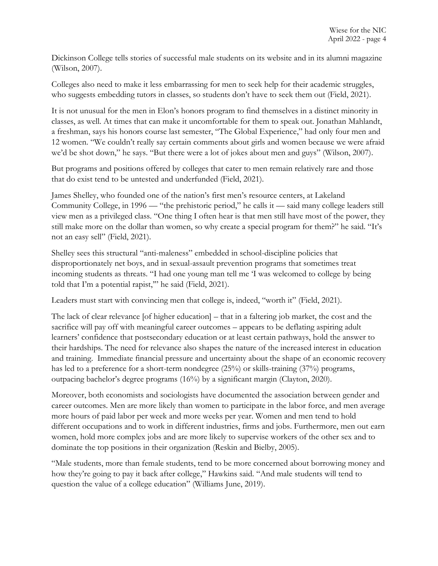Dickinson College tells stories of successful male students on its website and in its alumni magazine (Wilson, 2007).

Colleges also need to make it less embarrassing for men to seek help for their academic struggles, who suggests embedding tutors in classes, so students don't have to seek them out (Field, 2021).

It is not unusual for the men in Elon's honors program to find themselves in a distinct minority in classes, as well. At times that can make it uncomfortable for them to speak out. Jonathan Mahlandt, a freshman, says his honors course last semester, "The Global Experience," had only four men and 12 women. "We couldn't really say certain comments about girls and women because we were afraid we'd be shot down," he says. "But there were a lot of jokes about men and guys" (Wilson, 2007).

But programs and positions offered by colleges that cater to men remain relatively rare and those that do exist tend to be untested and underfunded (Field, 2021).

James Shelley, who founded one of the nation's first men's resource centers, at Lakeland Community College, in 1996 — "the prehistoric period," he calls it — said many college leaders still view men as a privileged class. "One thing I often hear is that men still have most of the power, they still make more on the dollar than women, so why create a special program for them?" he said. "It's not an easy sell" (Field, 2021).

Shelley sees this structural "anti-maleness" embedded in school-discipline policies that disproportionately net boys, and in sexual-assault prevention programs that sometimes treat incoming students as threats. "I had one young man tell me 'I was welcomed to college by being told that I'm a potential rapist,'" he said (Field, 2021).

Leaders must start with convincing men that college is, indeed, "worth it" (Field, 2021).

The lack of clear relevance [of higher education] – that in a faltering job market, the cost and the sacrifice will pay off with meaningful career outcomes – appears to be deflating aspiring adult learners' confidence that postsecondary education or at least certain pathways, hold the answer to their hardships. The need for relevance also shapes the nature of the increased interest in education and training. Immediate financial pressure and uncertainty about the shape of an economic recovery has led to a preference for a short-term nondegree (25%) or skills-training (37%) programs, outpacing bachelor's degree programs (16%) by a significant margin (Clayton, 2020).

Moreover, both economists and sociologists have documented the association between gender and career outcomes. Men are more likely than women to participate in the labor force, and men average more hours of paid labor per week and more weeks per year. Women and men tend to hold different occupations and to work in different industries, firms and jobs. Furthermore, men out earn women, hold more complex jobs and are more likely to supervise workers of the other sex and to dominate the top positions in their organization (Reskin and Bielby, 2005).

"Male students, more than female students, tend to be more concerned about borrowing money and how they're going to pay it back after college," Hawkins said. "And male students will tend to question the value of a college education" (Williams June, 2019).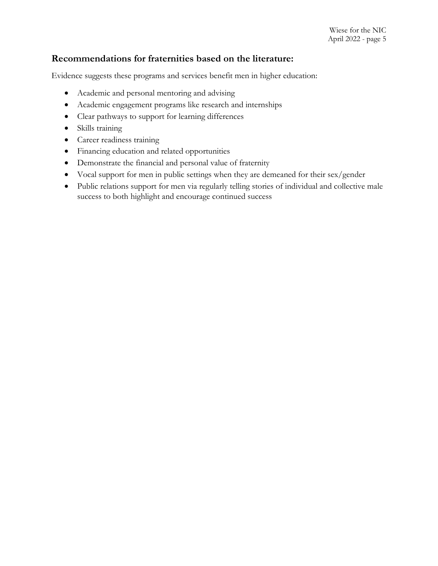### **Recommendations for fraternities based on the literature:**

Evidence suggests these programs and services benefit men in higher education:

- Academic and personal mentoring and advising
- Academic engagement programs like research and internships
- Clear pathways to support for learning differences
- Skills training
- Career readiness training
- Financing education and related opportunities
- Demonstrate the financial and personal value of fraternity
- Vocal support for men in public settings when they are demeaned for their sex/gender
- Public relations support for men via regularly telling stories of individual and collective male success to both highlight and encourage continued success